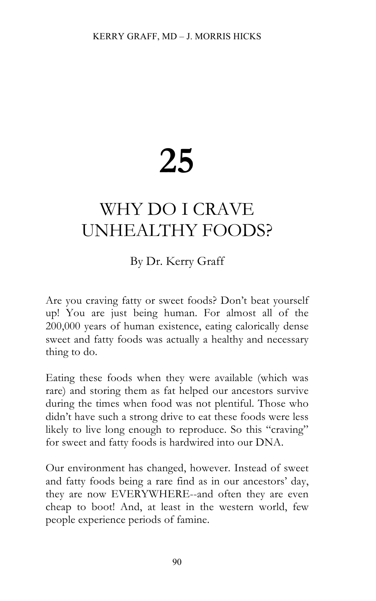## **25**

## WHY DO I CRAVE UNHEALTHY FOODS?

## By Dr. Kerry Graff

Are you craving fatty or sweet foods? Don't beat yourself up! You are just being human. For almost all of the 200,000 years of human existence, eating calorically dense sweet and fatty foods was actually a healthy and necessary thing to do.

Eating these foods when they were available (which was rare) and storing them as fat helped our ancestors survive during the times when food was not plentiful. Those who didn't have such a strong drive to eat these foods were less likely to live long enough to reproduce. So this "craving" for sweet and fatty foods is hardwired into our DNA.

Our environment has changed, however. Instead of sweet and fatty foods being a rare find as in our ancestors' day, they are now EVERYWHERE--and often they are even cheap to boot! And, at least in the western world, few people experience periods of famine.